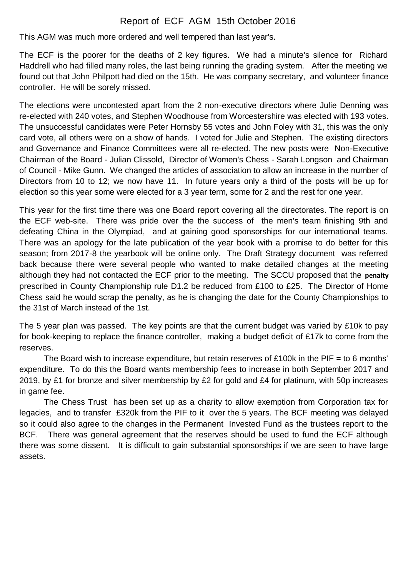## Report of ECF AGM 15th October 2016

This AGM was much more ordered and well tempered than last year's.

The ECF is the poorer for the deaths of 2 key figures. We had a minute's silence for Richard Haddrell who had filled many roles, the last being running the grading system. After the meeting we found out that John Philpott had died on the 15th. He was company secretary, and volunteer finance controller. He will be sorely missed.

The elections were uncontested apart from the 2 non-executive directors where Julie Denning was re-elected with 240 votes, and Stephen Woodhouse from Worcestershire was elected with 193 votes. The unsuccessful candidates were Peter Hornsby 55 votes and John Foley with 31, this was the only card vote, all others were on a show of hands. I voted for Julie and Stephen. The existing directors and Governance and Finance Committees were all re-elected. The new posts were Non-Executive Chairman of the Board - Julian Clissold, Director of Women's Chess - Sarah Longson and Chairman of Council - Mike Gunn. We changed the articles of association to allow an increase in the number of Directors from 10 to 12; we now have 11. In future years only a third of the posts will be up for election so this year some were elected for a 3 year term, some for 2 and the rest for one year.

This year for the first time there was one Board report covering all the directorates. The report is on the ECF web-site. There was pride over the the success of the men's team finishing 9th and defeating China in the Olympiad, and at gaining good sponsorships for our international teams. There was an apology for the late publication of the year book with a promise to do better for this season; from 2017-8 the yearbook will be online only. The Draft Strategy document was referred back because there were several people who wanted to make detailed changes at the meeting although they had not contacted the ECF prior to the meeting. The SCCU proposed that the **penalty**  prescribed in County Championship rule D1.2 be reduced from £100 to £25. The Director of Home Chess said he would scrap the penalty, as he is changing the date for the County Championships to the 31st of March instead of the 1st.

The 5 year plan was passed. The key points are that the current budget was varied by £10k to pay for book-keeping to replace the finance controller, making a budget deficit of £17k to come from the reserves.

The Board wish to increase expenditure, but retain reserves of £100k in the PIF = to 6 months' expenditure. To do this the Board wants membership fees to increase in both September 2017 and 2019, by £1 for bronze and silver membership by £2 for gold and £4 for platinum, with 50p increases in game fee.

The Chess Trust has been set up as a charity to allow exemption from Corporation tax for legacies, and to transfer £320k from the PIF to it over the 5 years. The BCF meeting was delayed so it could also agree to the changes in the Permanent Invested Fund as the trustees report to the BCF. There was general agreement that the reserves should be used to fund the ECF although there was some dissent. It is difficult to gain substantial sponsorships if we are seen to have large assets.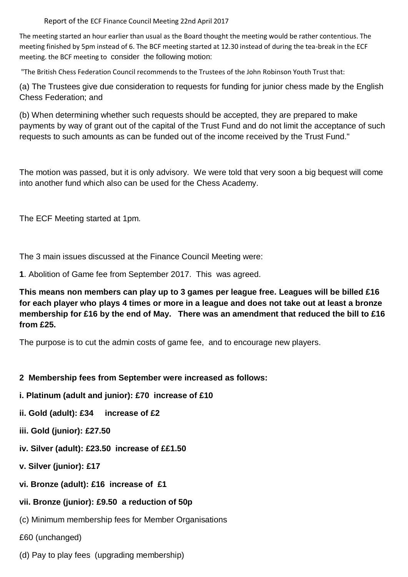Report of the ECF Finance Council Meeting 22nd April 2017

The meeting started an hour earlier than usual as the Board thought the meeting would be rather contentious. The meeting finished by 5pm instead of 6. The BCF meeting started at 12.30 instead of during the tea-break in the ECF meeting. the BCF meeting to consider the following motion:

"The British Chess Federation Council recommends to the Trustees of the John Robinson Youth Trust that:

(a) The Trustees give due consideration to requests for funding for junior chess made by the English Chess Federation; and

(b) When determining whether such requests should be accepted, they are prepared to make payments by way of grant out of the capital of the Trust Fund and do not limit the acceptance of such requests to such amounts as can be funded out of the income received by the Trust Fund."

The motion was passed, but it is only advisory. We were told that very soon a big bequest will come into another fund which also can be used for the Chess Academy.

The ECF Meeting started at 1pm.

The 3 main issues discussed at the Finance Council Meeting were:

**1**. Abolition of Game fee from September 2017. This was agreed.

**This means non members can play up to 3 games per league free. Leagues will be billed £16 for each player who plays 4 times or more in a league and does not take out at least a bronze membership for £16 by the end of May. There was an amendment that reduced the bill to £16 from £25.** 

The purpose is to cut the admin costs of game fee, and to encourage new players.

## **2 Membership fees from September were increased as follows:**

- **i. Platinum (adult and junior): £70 increase of £10**
- **ii. Gold (adult): £34 increase of £2**
- **iii. Gold (junior): £27.50**
- **iv. Silver (adult): £23.50 increase of ££1.50**
- **v. Silver (junior): £17**
- **vi. Bronze (adult): £16 increase of £1**

## **vii. Bronze (junior): £9.50 a reduction of 50p**

- (c) Minimum membership fees for Member Organisations
- £60 (unchanged)
- (d) Pay to play fees (upgrading membership)